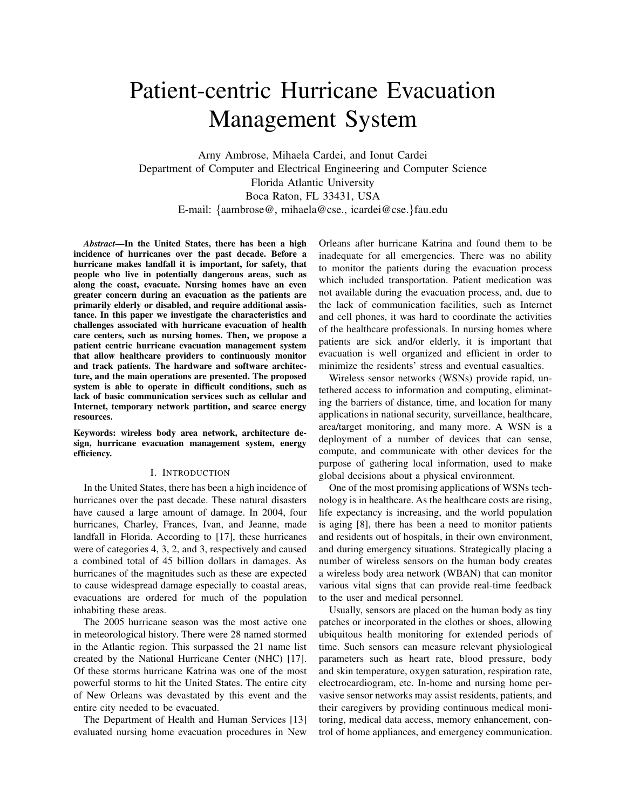# Patient-centric Hurricane Evacuation Management System

Arny Ambrose, Mihaela Cardei, and Ionut Cardei Department of Computer and Electrical Engineering and Computer Science Florida Atlantic University Boca Raton, FL 33431, USA E-mail: {aambrose@, mihaela@cse., icardei@cse.}fau.edu

*Abstract***—In the United States, there has been a high incidence of hurricanes over the past decade. Before a hurricane makes landfall it is important, for safety, that people who live in potentially dangerous areas, such as along the coast, evacuate. Nursing homes have an even greater concern during an evacuation as the patients are primarily elderly or disabled, and require additional assistance. In this paper we investigate the characteristics and challenges associated with hurricane evacuation of health care centers, such as nursing homes. Then, we propose a patient centric hurricane evacuation management system that allow healthcare providers to continuously monitor and track patients. The hardware and software architecture, and the main operations are presented. The proposed system is able to operate in difficult conditions, such as lack of basic communication services such as cellular and Internet, temporary network partition, and scarce energy resources.**

**Keywords: wireless body area network, architecture design, hurricane evacuation management system, energy efficiency.**

## I. INTRODUCTION

In the United States, there has been a high incidence of hurricanes over the past decade. These natural disasters have caused a large amount of damage. In 2004, four hurricanes, Charley, Frances, Ivan, and Jeanne, made landfall in Florida. According to [17], these hurricanes were of categories 4, 3, 2, and 3, respectively and caused a combined total of 45 billion dollars in damages. As hurricanes of the magnitudes such as these are expected to cause widespread damage especially to coastal areas, evacuations are ordered for much of the population inhabiting these areas.

The 2005 hurricane season was the most active one in meteorological history. There were 28 named stormed in the Atlantic region. This surpassed the 21 name list created by the National Hurricane Center (NHC) [17]. Of these storms hurricane Katrina was one of the most powerful storms to hit the United States. The entire city of New Orleans was devastated by this event and the entire city needed to be evacuated.

The Department of Health and Human Services [13] evaluated nursing home evacuation procedures in New Orleans after hurricane Katrina and found them to be inadequate for all emergencies. There was no ability to monitor the patients during the evacuation process which included transportation. Patient medication was not available during the evacuation process, and, due to the lack of communication facilities, such as Internet and cell phones, it was hard to coordinate the activities of the healthcare professionals. In nursing homes where patients are sick and/or elderly, it is important that evacuation is well organized and efficient in order to minimize the residents' stress and eventual casualties.

Wireless sensor networks (WSNs) provide rapid, untethered access to information and computing, eliminating the barriers of distance, time, and location for many applications in national security, surveillance, healthcare, area/target monitoring, and many more. A WSN is a deployment of a number of devices that can sense, compute, and communicate with other devices for the purpose of gathering local information, used to make global decisions about a physical environment.

One of the most promising applications of WSNs technology is in healthcare. As the healthcare costs are rising, life expectancy is increasing, and the world population is aging [8], there has been a need to monitor patients and residents out of hospitals, in their own environment, and during emergency situations. Strategically placing a number of wireless sensors on the human body creates a wireless body area network (WBAN) that can monitor various vital signs that can provide real-time feedback to the user and medical personnel.

Usually, sensors are placed on the human body as tiny patches or incorporated in the clothes or shoes, allowing ubiquitous health monitoring for extended periods of time. Such sensors can measure relevant physiological parameters such as heart rate, blood pressure, body and skin temperature, oxygen saturation, respiration rate, electrocardiogram, etc. In-home and nursing home pervasive sensor networks may assist residents, patients, and their caregivers by providing continuous medical monitoring, medical data access, memory enhancement, control of home appliances, and emergency communication.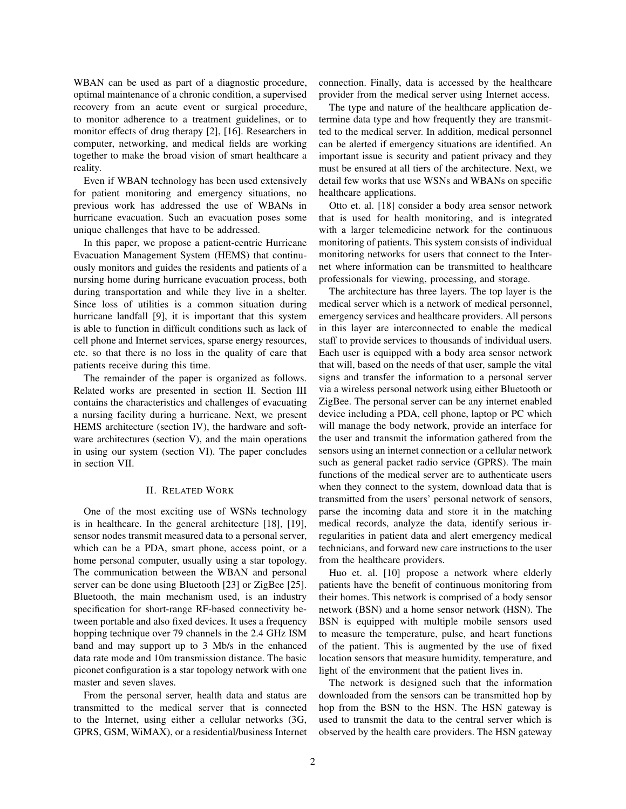WBAN can be used as part of a diagnostic procedure, optimal maintenance of a chronic condition, a supervised recovery from an acute event or surgical procedure, to monitor adherence to a treatment guidelines, or to monitor effects of drug therapy [2], [16]. Researchers in computer, networking, and medical fields are working together to make the broad vision of smart healthcare a reality.

Even if WBAN technology has been used extensively for patient monitoring and emergency situations, no previous work has addressed the use of WBANs in hurricane evacuation. Such an evacuation poses some unique challenges that have to be addressed.

In this paper, we propose a patient-centric Hurricane Evacuation Management System (HEMS) that continuously monitors and guides the residents and patients of a nursing home during hurricane evacuation process, both during transportation and while they live in a shelter. Since loss of utilities is a common situation during hurricane landfall [9], it is important that this system is able to function in difficult conditions such as lack of cell phone and Internet services, sparse energy resources, etc. so that there is no loss in the quality of care that patients receive during this time.

The remainder of the paper is organized as follows. Related works are presented in section II. Section III contains the characteristics and challenges of evacuating a nursing facility during a hurricane. Next, we present HEMS architecture (section IV), the hardware and software architectures (section V), and the main operations in using our system (section VI). The paper concludes in section VII.

## II. RELATED WORK

One of the most exciting use of WSNs technology is in healthcare. In the general architecture [18], [19], sensor nodes transmit measured data to a personal server, which can be a PDA, smart phone, access point, or a home personal computer, usually using a star topology. The communication between the WBAN and personal server can be done using Bluetooth [23] or ZigBee [25]. Bluetooth, the main mechanism used, is an industry specification for short-range RF-based connectivity between portable and also fixed devices. It uses a frequency hopping technique over 79 channels in the 2.4 GHz ISM band and may support up to 3 Mb/s in the enhanced data rate mode and 10m transmission distance. The basic piconet configuration is a star topology network with one master and seven slaves.

From the personal server, health data and status are transmitted to the medical server that is connected to the Internet, using either a cellular networks (3G, GPRS, GSM, WiMAX), or a residential/business Internet

connection. Finally, data is accessed by the healthcare provider from the medical server using Internet access.

The type and nature of the healthcare application determine data type and how frequently they are transmitted to the medical server. In addition, medical personnel can be alerted if emergency situations are identified. An important issue is security and patient privacy and they must be ensured at all tiers of the architecture. Next, we detail few works that use WSNs and WBANs on specific healthcare applications.

Otto et. al. [18] consider a body area sensor network that is used for health monitoring, and is integrated with a larger telemedicine network for the continuous monitoring of patients. This system consists of individual monitoring networks for users that connect to the Internet where information can be transmitted to healthcare professionals for viewing, processing, and storage.

The architecture has three layers. The top layer is the medical server which is a network of medical personnel, emergency services and healthcare providers. All persons in this layer are interconnected to enable the medical staff to provide services to thousands of individual users. Each user is equipped with a body area sensor network that will, based on the needs of that user, sample the vital signs and transfer the information to a personal server via a wireless personal network using either Bluetooth or ZigBee. The personal server can be any internet enabled device including a PDA, cell phone, laptop or PC which will manage the body network, provide an interface for the user and transmit the information gathered from the sensors using an internet connection or a cellular network such as general packet radio service (GPRS). The main functions of the medical server are to authenticate users when they connect to the system, download data that is transmitted from the users' personal network of sensors, parse the incoming data and store it in the matching medical records, analyze the data, identify serious irregularities in patient data and alert emergency medical technicians, and forward new care instructions to the user from the healthcare providers.

Huo et. al. [10] propose a network where elderly patients have the benefit of continuous monitoring from their homes. This network is comprised of a body sensor network (BSN) and a home sensor network (HSN). The BSN is equipped with multiple mobile sensors used to measure the temperature, pulse, and heart functions of the patient. This is augmented by the use of fixed location sensors that measure humidity, temperature, and light of the environment that the patient lives in.

The network is designed such that the information downloaded from the sensors can be transmitted hop by hop from the BSN to the HSN. The HSN gateway is used to transmit the data to the central server which is observed by the health care providers. The HSN gateway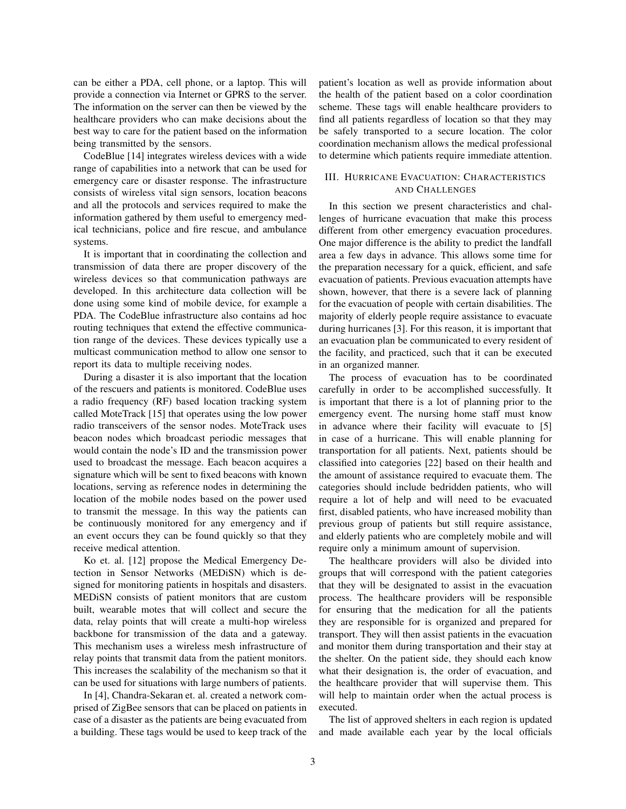can be either a PDA, cell phone, or a laptop. This will provide a connection via Internet or GPRS to the server. The information on the server can then be viewed by the healthcare providers who can make decisions about the best way to care for the patient based on the information being transmitted by the sensors.

CodeBlue [14] integrates wireless devices with a wide range of capabilities into a network that can be used for emergency care or disaster response. The infrastructure consists of wireless vital sign sensors, location beacons and all the protocols and services required to make the information gathered by them useful to emergency medical technicians, police and fire rescue, and ambulance systems.

It is important that in coordinating the collection and transmission of data there are proper discovery of the wireless devices so that communication pathways are developed. In this architecture data collection will be done using some kind of mobile device, for example a PDA. The CodeBlue infrastructure also contains ad hoc routing techniques that extend the effective communication range of the devices. These devices typically use a multicast communication method to allow one sensor to report its data to multiple receiving nodes.

During a disaster it is also important that the location of the rescuers and patients is monitored. CodeBlue uses a radio frequency (RF) based location tracking system called MoteTrack [15] that operates using the low power radio transceivers of the sensor nodes. MoteTrack uses beacon nodes which broadcast periodic messages that would contain the node's ID and the transmission power used to broadcast the message. Each beacon acquires a signature which will be sent to fixed beacons with known locations, serving as reference nodes in determining the location of the mobile nodes based on the power used to transmit the message. In this way the patients can be continuously monitored for any emergency and if an event occurs they can be found quickly so that they receive medical attention.

Ko et. al. [12] propose the Medical Emergency Detection in Sensor Networks (MEDiSN) which is designed for monitoring patients in hospitals and disasters. MEDiSN consists of patient monitors that are custom built, wearable motes that will collect and secure the data, relay points that will create a multi-hop wireless backbone for transmission of the data and a gateway. This mechanism uses a wireless mesh infrastructure of relay points that transmit data from the patient monitors. This increases the scalability of the mechanism so that it can be used for situations with large numbers of patients.

In [4], Chandra-Sekaran et. al. created a network comprised of ZigBee sensors that can be placed on patients in case of a disaster as the patients are being evacuated from a building. These tags would be used to keep track of the patient's location as well as provide information about the health of the patient based on a color coordination scheme. These tags will enable healthcare providers to find all patients regardless of location so that they may be safely transported to a secure location. The color coordination mechanism allows the medical professional to determine which patients require immediate attention.

# III. HURRICANE EVACUATION: CHARACTERISTICS AND CHALLENGES

In this section we present characteristics and challenges of hurricane evacuation that make this process different from other emergency evacuation procedures. One major difference is the ability to predict the landfall area a few days in advance. This allows some time for the preparation necessary for a quick, efficient, and safe evacuation of patients. Previous evacuation attempts have shown, however, that there is a severe lack of planning for the evacuation of people with certain disabilities. The majority of elderly people require assistance to evacuate during hurricanes [3]. For this reason, it is important that an evacuation plan be communicated to every resident of the facility, and practiced, such that it can be executed in an organized manner.

The process of evacuation has to be coordinated carefully in order to be accomplished successfully. It is important that there is a lot of planning prior to the emergency event. The nursing home staff must know in advance where their facility will evacuate to [5] in case of a hurricane. This will enable planning for transportation for all patients. Next, patients should be classified into categories [22] based on their health and the amount of assistance required to evacuate them. The categories should include bedridden patients, who will require a lot of help and will need to be evacuated first, disabled patients, who have increased mobility than previous group of patients but still require assistance, and elderly patients who are completely mobile and will require only a minimum amount of supervision.

The healthcare providers will also be divided into groups that will correspond with the patient categories that they will be designated to assist in the evacuation process. The healthcare providers will be responsible for ensuring that the medication for all the patients they are responsible for is organized and prepared for transport. They will then assist patients in the evacuation and monitor them during transportation and their stay at the shelter. On the patient side, they should each know what their designation is, the order of evacuation, and the healthcare provider that will supervise them. This will help to maintain order when the actual process is executed.

The list of approved shelters in each region is updated and made available each year by the local officials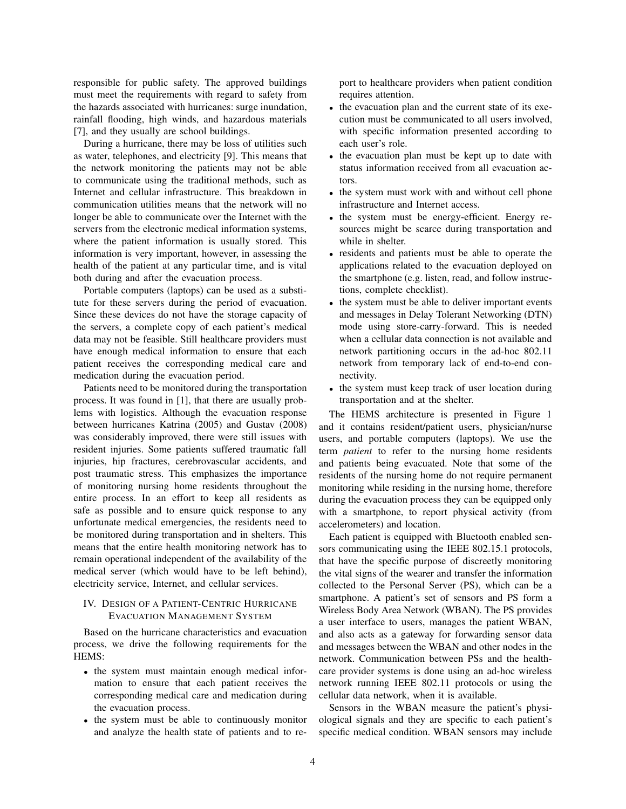responsible for public safety. The approved buildings must meet the requirements with regard to safety from the hazards associated with hurricanes: surge inundation, rainfall flooding, high winds, and hazardous materials [7], and they usually are school buildings.

During a hurricane, there may be loss of utilities such as water, telephones, and electricity [9]. This means that the network monitoring the patients may not be able to communicate using the traditional methods, such as Internet and cellular infrastructure. This breakdown in communication utilities means that the network will no longer be able to communicate over the Internet with the servers from the electronic medical information systems, where the patient information is usually stored. This information is very important, however, in assessing the health of the patient at any particular time, and is vital both during and after the evacuation process.

Portable computers (laptops) can be used as a substitute for these servers during the period of evacuation. Since these devices do not have the storage capacity of the servers, a complete copy of each patient's medical data may not be feasible. Still healthcare providers must have enough medical information to ensure that each patient receives the corresponding medical care and medication during the evacuation period.

Patients need to be monitored during the transportation process. It was found in [1], that there are usually problems with logistics. Although the evacuation response between hurricanes Katrina (2005) and Gustav (2008) was considerably improved, there were still issues with resident injuries. Some patients suffered traumatic fall injuries, hip fractures, cerebrovascular accidents, and post traumatic stress. This emphasizes the importance of monitoring nursing home residents throughout the entire process. In an effort to keep all residents as safe as possible and to ensure quick response to any unfortunate medical emergencies, the residents need to be monitored during transportation and in shelters. This means that the entire health monitoring network has to remain operational independent of the availability of the medical server (which would have to be left behind), electricity service, Internet, and cellular services.

## IV. DESIGN OF A PATIENT-CENTRIC HURRICANE EVACUATION MANAGEMENT SYSTEM

Based on the hurricane characteristics and evacuation process, we drive the following requirements for the HEMS:

- the system must maintain enough medical information to ensure that each patient receives the corresponding medical care and medication during the evacuation process.
- the system must be able to continuously monitor and analyze the health state of patients and to re-

port to healthcare providers when patient condition requires attention.

- the evacuation plan and the current state of its execution must be communicated to all users involved, with specific information presented according to each user's role.
- the evacuation plan must be kept up to date with status information received from all evacuation actors.
- the system must work with and without cell phone infrastructure and Internet access.
- the system must be energy-efficient. Energy resources might be scarce during transportation and while in shelter.
- residents and patients must be able to operate the applications related to the evacuation deployed on the smartphone (e.g. listen, read, and follow instructions, complete checklist).
- the system must be able to deliver important events and messages in Delay Tolerant Networking (DTN) mode using store-carry-forward. This is needed when a cellular data connection is not available and network partitioning occurs in the ad-hoc 802.11 network from temporary lack of end-to-end connectivity.
- the system must keep track of user location during transportation and at the shelter.

The HEMS architecture is presented in Figure 1 and it contains resident/patient users, physician/nurse users, and portable computers (laptops). We use the term *patient* to refer to the nursing home residents and patients being evacuated. Note that some of the residents of the nursing home do not require permanent monitoring while residing in the nursing home, therefore during the evacuation process they can be equipped only with a smartphone, to report physical activity (from accelerometers) and location.

Each patient is equipped with Bluetooth enabled sensors communicating using the IEEE 802.15.1 protocols, that have the specific purpose of discreetly monitoring the vital signs of the wearer and transfer the information collected to the Personal Server (PS), which can be a smartphone. A patient's set of sensors and PS form a Wireless Body Area Network (WBAN). The PS provides a user interface to users, manages the patient WBAN, and also acts as a gateway for forwarding sensor data and messages between the WBAN and other nodes in the network. Communication between PSs and the healthcare provider systems is done using an ad-hoc wireless network running IEEE 802.11 protocols or using the cellular data network, when it is available.

Sensors in the WBAN measure the patient's physiological signals and they are specific to each patient's specific medical condition. WBAN sensors may include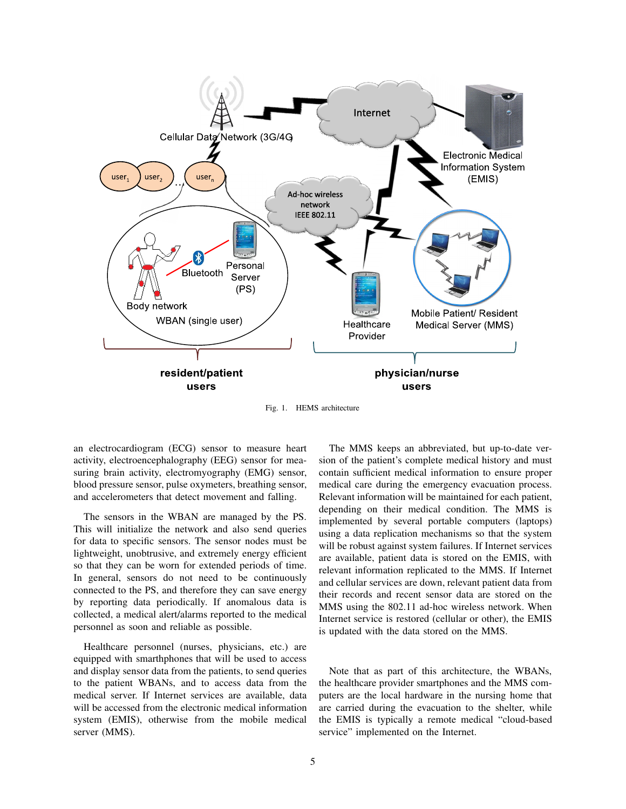

Fig. 1. HEMS architecture

an electrocardiogram (ECG) sensor to measure heart activity, electroencephalography (EEG) sensor for measuring brain activity, electromyography (EMG) sensor, blood pressure sensor, pulse oxymeters, breathing sensor, and accelerometers that detect movement and falling.

The sensors in the WBAN are managed by the PS. This will initialize the network and also send queries for data to specific sensors. The sensor nodes must be lightweight, unobtrusive, and extremely energy efficient so that they can be worn for extended periods of time. In general, sensors do not need to be continuously connected to the PS, and therefore they can save energy by reporting data periodically. If anomalous data is collected, a medical alert/alarms reported to the medical personnel as soon and reliable as possible.

Healthcare personnel (nurses, physicians, etc.) are equipped with smarthphones that will be used to access and display sensor data from the patients, to send queries to the patient WBANs, and to access data from the medical server. If Internet services are available, data will be accessed from the electronic medical information system (EMIS), otherwise from the mobile medical server (MMS).

The MMS keeps an abbreviated, but up-to-date version of the patient's complete medical history and must contain sufficient medical information to ensure proper medical care during the emergency evacuation process. Relevant information will be maintained for each patient, depending on their medical condition. The MMS is implemented by several portable computers (laptops) using a data replication mechanisms so that the system will be robust against system failures. If Internet services are available, patient data is stored on the EMIS, with relevant information replicated to the MMS. If Internet and cellular services are down, relevant patient data from their records and recent sensor data are stored on the MMS using the 802.11 ad-hoc wireless network. When Internet service is restored (cellular or other), the EMIS is updated with the data stored on the MMS.

Note that as part of this architecture, the WBANs, the healthcare provider smartphones and the MMS computers are the local hardware in the nursing home that are carried during the evacuation to the shelter, while the EMIS is typically a remote medical "cloud-based service" implemented on the Internet.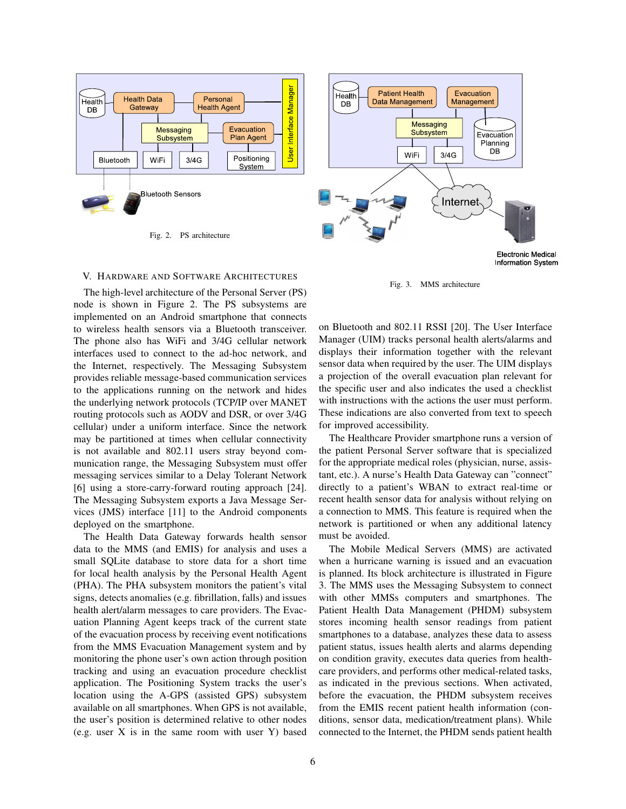

Fig. 2. PS architecture

## V. HARDWARE AND SOFTWARE ARCHITECTURES

The high-level architecture of the Personal Server (PS) node is shown in Figure 2. The PS subsystems are implemented on an Android smartphone that connects to wireless health sensors via a Bluetooth transceiver. The phone also has WiFi and 3/4G cellular network interfaces used to connect to the ad-hoc network, and the Internet, respectively. The Messaging Subsystem provides reliable message-based communication services to the applications running on the network and hides the underlying network protocols (TCP/IP over MANET routing protocols such as AODV and DSR, or over 3/4G cellular) under a uniform interface. Since the network may be partitioned at times when cellular connectivity is not available and 802.11 users stray beyond communication range, the Messaging Subsystem must offer messaging services similar to a Delay Tolerant Network [6] using a store-carry-forward routing approach [24]. The Messaging Subsystem exports a Java Message Services (JMS) interface [11] to the Android components deployed on the smartphone.

The Health Data Gateway forwards health sensor data to the MMS (and EMIS) for analysis and uses a small SQLite database to store data for a short time for local health analysis by the Personal Health Agent (PHA). The PHA subsystem monitors the patient's vital signs, detects anomalies (e.g. fibrillation, falls) and issues health alert/alarm messages to care providers. The Evacuation Planning Agent keeps track of the current state of the evacuation process by receiving event notifications from the MMS Evacuation Management system and by monitoring the phone user's own action through position tracking and using an evacuation procedure checklist application. The Positioning System tracks the user's location using the A-GPS (assisted GPS) subsystem available on all smartphones. When GPS is not available, the user's position is determined relative to other nodes (e.g. user X is in the same room with user Y) based



Fig. 3. MMS architecture

on Bluetooth and 802.11 RSSI [20]. The User Interface Manager (UIM) tracks personal health alerts/alarms and displays their information together with the relevant sensor data when required by the user. The UIM displays a projection of the overall evacuation plan relevant for the specific user and also indicates the used a checklist with instructions with the actions the user must perform. These indications are also converted from text to speech for improved accessibility.

The Healthcare Provider smartphone runs a version of the patient Personal Server software that is specialized for the appropriate medical roles (physician, nurse, assistant, etc.). A nurse's Health Data Gateway can "connect" directly to a patient's WBAN to extract real-time or recent health sensor data for analysis without relying on a connection to MMS. This feature is required when the network is partitioned or when any additional latency must be avoided.

The Mobile Medical Servers (MMS) are activated when a hurricane warning is issued and an evacuation is planned. Its block architecture is illustrated in Figure 3. The MMS uses the Messaging Subsystem to connect with other MMSs computers and smartphones. The Patient Health Data Management (PHDM) subsystem stores incoming health sensor readings from patient smartphones to a database, analyzes these data to assess patient status, issues health alerts and alarms depending on condition gravity, executes data queries from healthcare providers, and performs other medical-related tasks, as indicated in the previous sections. When activated, before the evacuation, the PHDM subsystem receives from the EMIS recent patient health information (conditions, sensor data, medication/treatment plans). While connected to the Internet, the PHDM sends patient health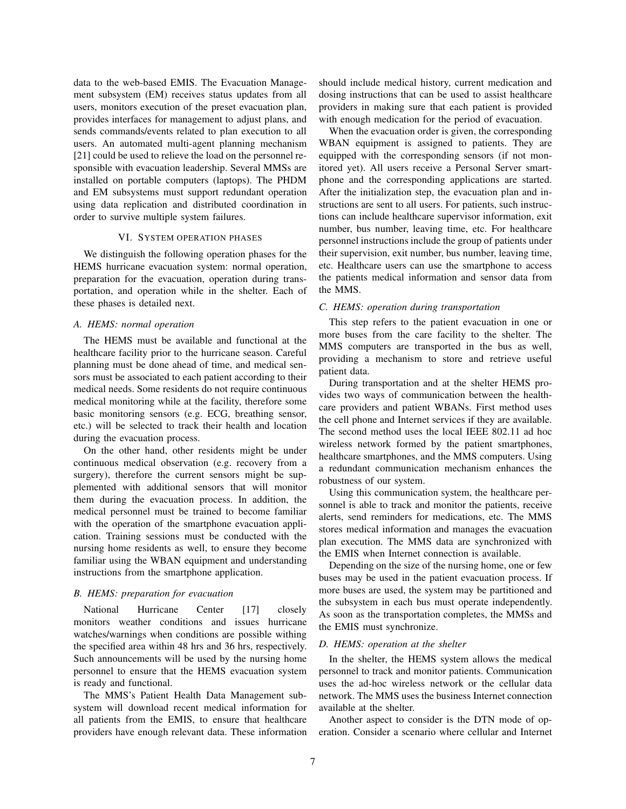data to the web-based EMIS. The Evacuation Management subsystem (EM) receives status updates from all users, monitors execution of the preset evacuation plan, provides interfaces for management to adjust plans, and sends commands/events related to plan execution to all users. An automated multi-agent planning mechanism [21] could be used to relieve the load on the personnel responsible with evacuation leadership. Several MMSs are installed on portable computers (laptops). The PHDM and EM subsystems must support redundant operation using data replication and distributed coordination in order to survive multiple system failures.

## VI. SYSTEM OPERATION PHASES

We distinguish the following operation phases for the HEMS hurricane evacuation system: normal operation, preparation for the evacuation, operation during transportation, and operation while in the shelter. Each of these phases is detailed next.

## *A. HEMS: normal operation*

The HEMS must be available and functional at the healthcare facility prior to the hurricane season. Careful planning must be done ahead of time, and medical sensors must be associated to each patient according to their medical needs. Some residents do not require continuous medical monitoring while at the facility, therefore some basic monitoring sensors (e.g. ECG, breathing sensor, etc.) will be selected to track their health and location during the evacuation process.

On the other hand, other residents might be under continuous medical observation (e.g. recovery from a surgery), therefore the current sensors might be supplemented with additional sensors that will monitor them during the evacuation process. In addition, the medical personnel must be trained to become familiar with the operation of the smartphone evacuation application. Training sessions must be conducted with the nursing home residents as well, to ensure they become familiar using the WBAN equipment and understanding instructions from the smartphone application.

## *B. HEMS: preparation for evacuation*

National Hurricane Center [17] closely monitors weather conditions and issues hurricane watches/warnings when conditions are possible withing the specified area within 48 hrs and 36 hrs, respectively. Such announcements will be used by the nursing home personnel to ensure that the HEMS evacuation system is ready and functional.

The MMS's Patient Health Data Management subsystem will download recent medical information for all patients from the EMIS, to ensure that healthcare providers have enough relevant data. These information should include medical history, current medication and dosing instructions that can be used to assist healthcare providers in making sure that each patient is provided with enough medication for the period of evacuation.

When the evacuation order is given, the corresponding WBAN equipment is assigned to patients. They are equipped with the corresponding sensors (if not monitored yet). All users receive a Personal Server smartphone and the corresponding applications are started. After the initialization step, the evacuation plan and instructions are sent to all users. For patients, such instructions can include healthcare supervisor information, exit number, bus number, leaving time, etc. For healthcare personnel instructions include the group of patients under their supervision, exit number, bus number, leaving time, etc. Healthcare users can use the smartphone to access the patients medical information and sensor data from the MMS.

## *C. HEMS: operation during transportation*

This step refers to the patient evacuation in one or more buses from the care facility to the shelter. The MMS computers are transported in the bus as well, providing a mechanism to store and retrieve useful patient data.

During transportation and at the shelter HEMS provides two ways of communication between the healthcare providers and patient WBANs. First method uses the cell phone and Internet services if they are available. The second method uses the local IEEE 802.11 ad hoc wireless network formed by the patient smartphones, healthcare smartphones, and the MMS computers. Using a redundant communication mechanism enhances the robustness of our system.

Using this communication system, the healthcare personnel is able to track and monitor the patients, receive alerts, send reminders for medications, etc. The MMS stores medical information and manages the evacuation plan execution. The MMS data are synchronized with the EMIS when Internet connection is available.

Depending on the size of the nursing home, one or few buses may be used in the patient evacuation process. If more buses are used, the system may be partitioned and the subsystem in each bus must operate independently. As soon as the transportation completes, the MMSs and the EMIS must synchronize.

## *D. HEMS: operation at the shelter*

In the shelter, the HEMS system allows the medical personnel to track and monitor patients. Communication uses the ad-hoc wireless network or the cellular data network. The MMS uses the business Internet connection available at the shelter.

Another aspect to consider is the DTN mode of operation. Consider a scenario where cellular and Internet